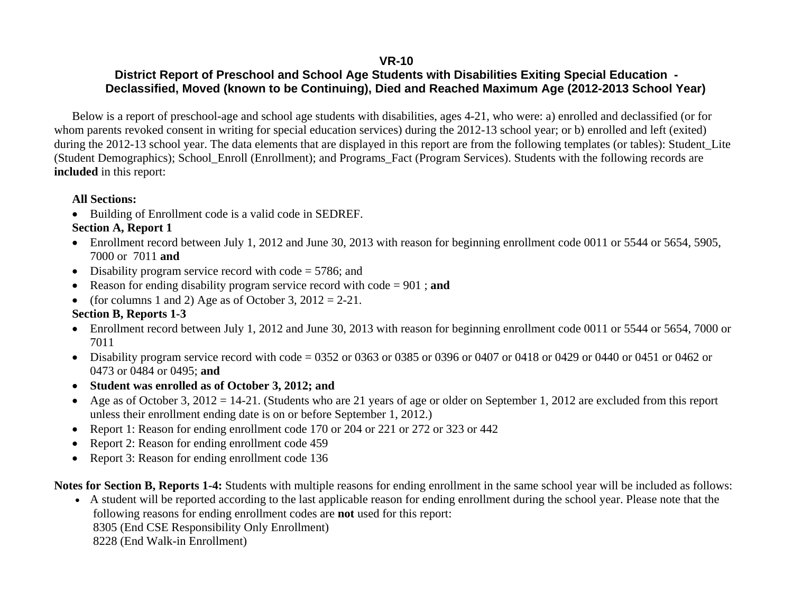#### **VR-10**

### **District Report of Preschool and School Age Students with Disabilities Exiting Special Education - Declassified, Moved (known to be Continuing), Died and Reached Maximum Age (2012-2013 School Year)**

Below is a report of preschool-age and school age students with disabilities, ages 4-21, who were: a) enrolled and declassified (or for whom parents revoked consent in writing for special education services) during the 2012-13 school year; or b) enrolled and left (exited) during the 2012-13 school year. The data elements that are displayed in this report are from the following templates (or tables): Student\_Lite (Student Demographics); School\_Enroll (Enrollment); and Programs\_Fact (Program Services). Students with the following records are **included** in this report:

#### **All Sections:**

• Building of Enrollment code is a valid code in SEDREF.

### **Section A, Report 1**

- Enrollment record between July 1, 2012 and June 30, 2013 with reason for beginning enrollment code 0011 or 5544 or 5654, 5905, 7000 or 7011 **and**
- Disability program service record with code = 5786; and
- Reason for ending disability program service record with code = 901 ; **and**
- (for columns 1 and 2) Age as of October 3,  $2012 = 2-21$ .

### **Section B, Reports 1-3**

- Enrollment record between July 1, 2012 and June 30, 2013 with reason for beginning enrollment code 0011 or 5544 or 5654, 7000 or 7011
- Disability program service record with code = 0352 or 0363 or 0385 or 0396 or 0407 or 0418 or 0429 or 0440 or 0451 or 0462 or 0473 or 0484 or 0495; **and**
- . **Student was enrolled as of October 3, 2012; and**
- Age as of October 3, 2012 = 14-21. (Students who are 21 years of age or older on September 1, 2012 are excluded from this report unless their enrollment ending date is on or before September 1, 2012.)
- Report 1: Reason for ending enrollment code 170 or 204 or 221 or 272 or 323 or 442
- $\bullet$ Report 2: Reason for ending enrollment code 459
- $\bullet$ Report 3: Reason for ending enrollment code 136

**Notes for Section B, Reports 1-4:** Students with multiple reasons for ending enrollment in the same school year will be included as follows:

 A student will be reported according to the last applicable reason for ending enrollment during the school year. Please note that the following reasons for ending enrollment codes are **not** used for this report:

8305 (End CSE Responsibility Only Enrollment)

8228 (End Walk-in Enrollment)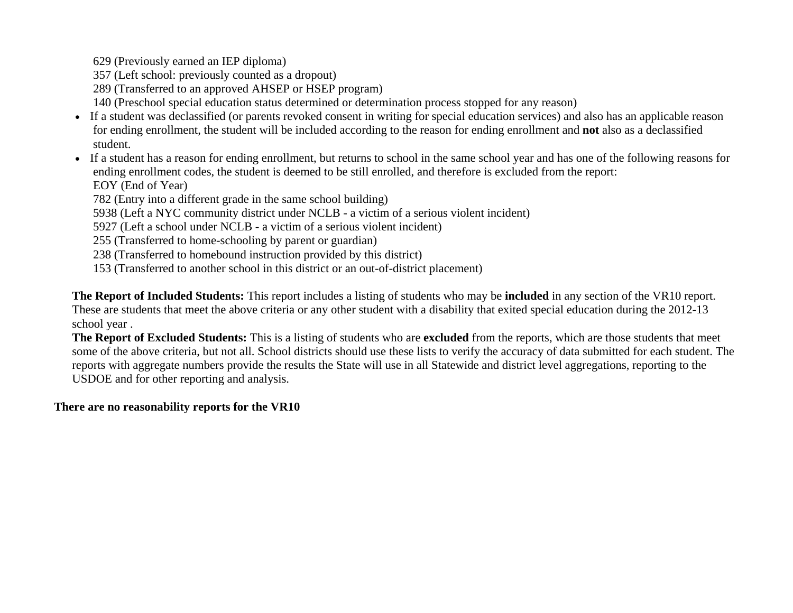629 (Previously earned an IEP diploma)

- 357 (Left school: previously counted as a dropout)
- 289 (Transferred to an approved AHSEP or HSEP program)
- 140 (Preschool special education status determined or determination process stopped for any reason)
- If a student was declassified (or parents revoked consent in writing for special education services) and also has an applicable reason for ending enrollment, the student will be included according to the reason for ending enrollment and **not** also as a declassified student.
- If a student has a reason for ending enrollment, but returns to school in the same school year and has one of the following reasons for ending enrollment codes, the student is deemed to be still enrolled, and therefore is excluded from the report: EOY (End of Year)

782 (Entry into a different grade in the same school building)

5938 (Left a NYC community district under NCLB - a victim of a serious violent incident)

5927 (Left a school under NCLB - a victim of a serious violent incident)

255 (Transferred to home-schooling by parent or guardian)

238 (Transferred to homebound instruction provided by this district)

153 (Transferred to another school in this district or an out-of-district placement)

**The Report of Included Students:** This report includes a listing of students who may be **included** in any section of the VR10 report. These are students that meet the above criteria or any other student with a disability that exited special education during the 2012-13 school year .

**The Report of Excluded Students:** This is a listing of students who are **excluded** from the reports, which are those students that meet some of the above criteria, but not all. School districts should use these lists to verify the accuracy of data submitted for each student. The reports with aggregate numbers provide the results the State will use in all Statewide and district level aggregations, reporting to the USDOE and for other reporting and analysis.

#### **There are no reasonability reports for the VR10**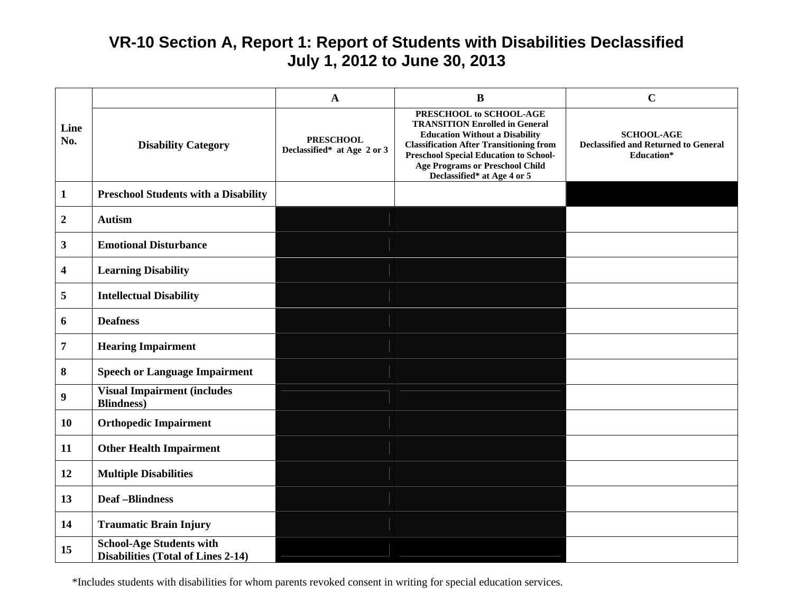# **VR-10 Section A, Report 1: Report of Students with Disabilities Declassified July 1, 2012 to June 30, 2013**

|                         |                                                                              | A                                               | $\bf{B}$                                                                                                                                                                                                                                                                              | $\mathbf C$                                                                           |  |  |
|-------------------------|------------------------------------------------------------------------------|-------------------------------------------------|---------------------------------------------------------------------------------------------------------------------------------------------------------------------------------------------------------------------------------------------------------------------------------------|---------------------------------------------------------------------------------------|--|--|
| Line<br>No.             | <b>Disability Category</b>                                                   | <b>PRESCHOOL</b><br>Declassified* at Age 2 or 3 | PRESCHOOL to SCHOOL-AGE<br><b>TRANSITION Enrolled in General</b><br><b>Education Without a Disability</b><br><b>Classification After Transitioning from</b><br><b>Preschool Special Education to School-</b><br><b>Age Programs or Preschool Child</b><br>Declassified* at Age 4 or 5 | <b>SCHOOL-AGE</b><br><b>Declassified and Returned to General</b><br><b>Education*</b> |  |  |
| $\mathbf{1}$            | <b>Preschool Students with a Disability</b>                                  |                                                 |                                                                                                                                                                                                                                                                                       |                                                                                       |  |  |
| $\boldsymbol{2}$        | <b>Autism</b>                                                                |                                                 |                                                                                                                                                                                                                                                                                       |                                                                                       |  |  |
| $\mathbf{3}$            | <b>Emotional Disturbance</b>                                                 |                                                 |                                                                                                                                                                                                                                                                                       |                                                                                       |  |  |
| $\overline{\mathbf{4}}$ | <b>Learning Disability</b>                                                   |                                                 |                                                                                                                                                                                                                                                                                       |                                                                                       |  |  |
| 5                       | <b>Intellectual Disability</b>                                               |                                                 |                                                                                                                                                                                                                                                                                       |                                                                                       |  |  |
| 6                       | <b>Deafness</b>                                                              |                                                 |                                                                                                                                                                                                                                                                                       |                                                                                       |  |  |
| $\overline{7}$          | <b>Hearing Impairment</b>                                                    |                                                 |                                                                                                                                                                                                                                                                                       |                                                                                       |  |  |
| 8                       | <b>Speech or Language Impairment</b>                                         |                                                 |                                                                                                                                                                                                                                                                                       |                                                                                       |  |  |
| $\boldsymbol{9}$        | <b>Visual Impairment (includes</b><br><b>Blindness</b> )                     |                                                 |                                                                                                                                                                                                                                                                                       |                                                                                       |  |  |
| <b>10</b>               | <b>Orthopedic Impairment</b>                                                 |                                                 |                                                                                                                                                                                                                                                                                       |                                                                                       |  |  |
| 11                      | <b>Other Health Impairment</b>                                               |                                                 |                                                                                                                                                                                                                                                                                       |                                                                                       |  |  |
| 12                      | <b>Multiple Disabilities</b>                                                 |                                                 |                                                                                                                                                                                                                                                                                       |                                                                                       |  |  |
| 13                      | <b>Deaf-Blindness</b>                                                        |                                                 |                                                                                                                                                                                                                                                                                       |                                                                                       |  |  |
| 14                      | <b>Traumatic Brain Injury</b>                                                |                                                 |                                                                                                                                                                                                                                                                                       |                                                                                       |  |  |
| 15                      | <b>School-Age Students with</b><br><b>Disabilities (Total of Lines 2-14)</b> |                                                 |                                                                                                                                                                                                                                                                                       |                                                                                       |  |  |

\*Includes students with disabilities for whom parents revoked consent in writing for special education services.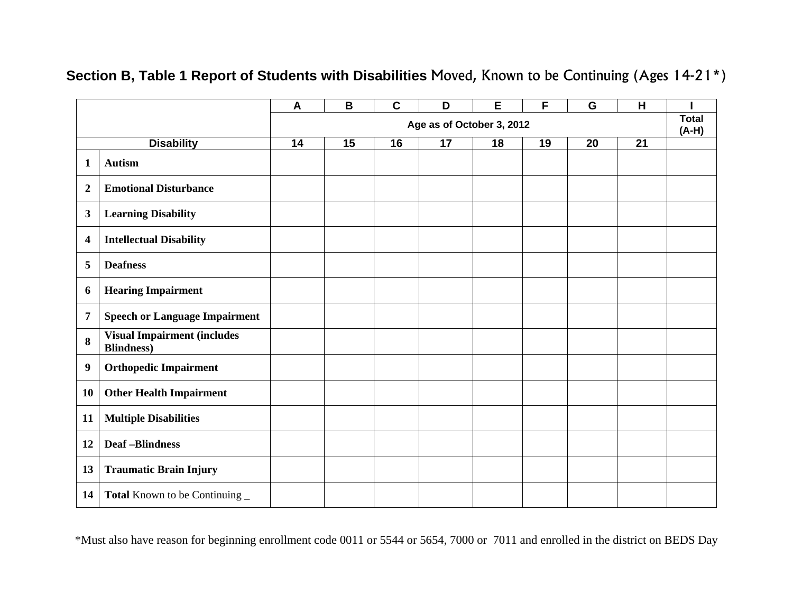|                         |                                                              | $\mathbf{A}$              | B  | $\mathbf c$ | D  | E  | F  | G                       | H  |  |
|-------------------------|--------------------------------------------------------------|---------------------------|----|-------------|----|----|----|-------------------------|----|--|
|                         |                                                              | Age as of October 3, 2012 |    |             |    |    |    | <b>Total</b><br>$(A-H)$ |    |  |
|                         | <b>Disability</b>                                            | 14                        | 15 | 16          | 17 | 18 | 19 | 20                      | 21 |  |
| 1                       | <b>Autism</b>                                                |                           |    |             |    |    |    |                         |    |  |
| $\boldsymbol{2}$        | <b>Emotional Disturbance</b>                                 |                           |    |             |    |    |    |                         |    |  |
| $\mathbf{3}$            | <b>Learning Disability</b>                                   |                           |    |             |    |    |    |                         |    |  |
| $\overline{\mathbf{4}}$ | <b>Intellectual Disability</b>                               |                           |    |             |    |    |    |                         |    |  |
| 5                       | <b>Deafness</b>                                              |                           |    |             |    |    |    |                         |    |  |
| 6                       | <b>Hearing Impairment</b>                                    |                           |    |             |    |    |    |                         |    |  |
| 7                       | <b>Speech or Language Impairment</b>                         |                           |    |             |    |    |    |                         |    |  |
| 8                       | <b>Visual Impairment (includes</b><br><b>Blindness)</b>      |                           |    |             |    |    |    |                         |    |  |
| 9                       | <b>Orthopedic Impairment</b>                                 |                           |    |             |    |    |    |                         |    |  |
| 10                      | <b>Other Health Impairment</b>                               |                           |    |             |    |    |    |                         |    |  |
| 11                      | <b>Multiple Disabilities</b>                                 |                           |    |             |    |    |    |                         |    |  |
| 12                      | <b>Deaf-Blindness</b>                                        |                           |    |             |    |    |    |                         |    |  |
| 13                      | <b>Traumatic Brain Injury</b>                                |                           |    |             |    |    |    |                         |    |  |
| 14                      | <b>Total</b> Known to be Continuing $\overline{\phantom{a}}$ |                           |    |             |    |    |    |                         |    |  |

## **Section B, Table 1 Report of Students with Disabilities** Moved, Known to be Continuing (Ages 14-21\*)

\*Must also have reason for beginning enrollment code 0011 or 5544 or 5654, 7000 or 7011 and enrolled in the district on BEDS Day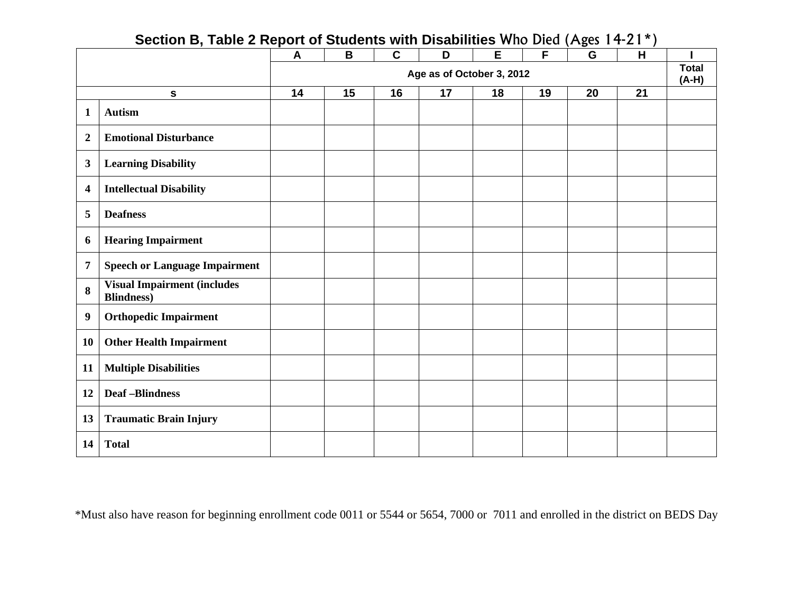|                         | 500110112, 1001021100                                    | $\mathsf{A}$              | B  | $\mathbf C$ | $\frac{1}{2}$<br>D | E  | $\overline{F}$ | G  | $\overline{\phantom{a}}$<br>H |  |
|-------------------------|----------------------------------------------------------|---------------------------|----|-------------|--------------------|----|----------------|----|-------------------------------|--|
|                         |                                                          | Age as of October 3, 2012 |    |             |                    |    |                |    | <b>Total</b><br>$(A-H)$       |  |
|                         | $\mathbf{s}$                                             | 14                        | 15 | 16          | 17                 | 18 | 19             | 20 | 21                            |  |
| 1                       | <b>Autism</b>                                            |                           |    |             |                    |    |                |    |                               |  |
| $\overline{2}$          | <b>Emotional Disturbance</b>                             |                           |    |             |                    |    |                |    |                               |  |
| $\mathbf{3}$            | <b>Learning Disability</b>                               |                           |    |             |                    |    |                |    |                               |  |
| $\overline{\mathbf{4}}$ | <b>Intellectual Disability</b>                           |                           |    |             |                    |    |                |    |                               |  |
| 5                       | <b>Deafness</b>                                          |                           |    |             |                    |    |                |    |                               |  |
| 6                       | <b>Hearing Impairment</b>                                |                           |    |             |                    |    |                |    |                               |  |
| 7                       | <b>Speech or Language Impairment</b>                     |                           |    |             |                    |    |                |    |                               |  |
| 8                       | <b>Visual Impairment (includes</b><br><b>Blindness</b> ) |                           |    |             |                    |    |                |    |                               |  |
| 9                       | <b>Orthopedic Impairment</b>                             |                           |    |             |                    |    |                |    |                               |  |
| 10                      | <b>Other Health Impairment</b>                           |                           |    |             |                    |    |                |    |                               |  |
| 11                      | <b>Multiple Disabilities</b>                             |                           |    |             |                    |    |                |    |                               |  |
| 12                      | <b>Deaf-Blindness</b>                                    |                           |    |             |                    |    |                |    |                               |  |
| 13                      | <b>Traumatic Brain Injury</b>                            |                           |    |             |                    |    |                |    |                               |  |
| 14                      | <b>Total</b>                                             |                           |    |             |                    |    |                |    |                               |  |

### **Section B, Table 2 Report of Students with Disabilities** Who Died (Ages 14-21\*)

\*Must also have reason for beginning enrollment code 0011 or 5544 or 5654, 7000 or 7011 and enrolled in the district on BEDS Day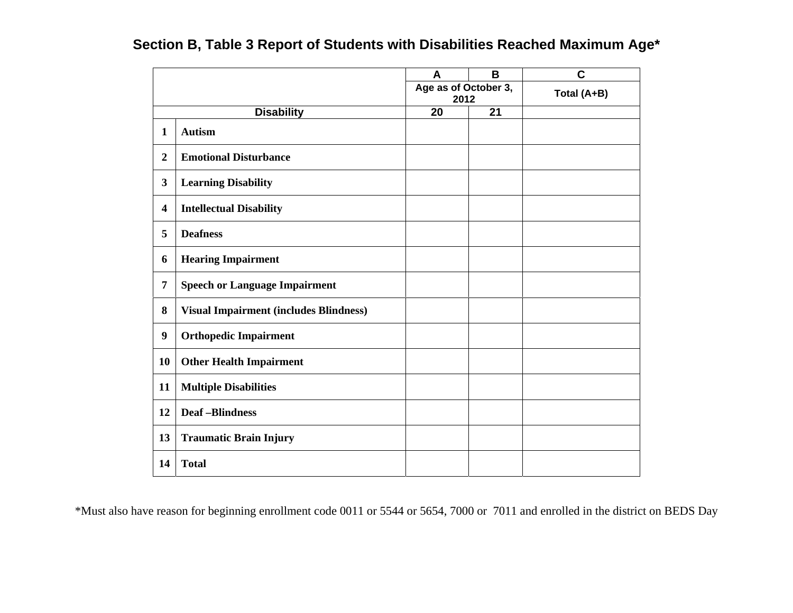|                         |                                               | A                            | B  | C           |
|-------------------------|-----------------------------------------------|------------------------------|----|-------------|
|                         |                                               | Age as of October 3,<br>2012 |    | Total (A+B) |
| <b>Disability</b>       |                                               | 20                           | 21 |             |
| $\mathbf{1}$            | <b>Autism</b>                                 |                              |    |             |
| $\boldsymbol{2}$        | <b>Emotional Disturbance</b>                  |                              |    |             |
| 3                       | <b>Learning Disability</b>                    |                              |    |             |
| $\overline{\mathbf{4}}$ | <b>Intellectual Disability</b>                |                              |    |             |
| 5                       | <b>Deafness</b>                               |                              |    |             |
| 6                       | <b>Hearing Impairment</b>                     |                              |    |             |
| 7                       | <b>Speech or Language Impairment</b>          |                              |    |             |
| 8                       | <b>Visual Impairment (includes Blindness)</b> |                              |    |             |
| $\boldsymbol{9}$        | <b>Orthopedic Impairment</b>                  |                              |    |             |
| 10                      | <b>Other Health Impairment</b>                |                              |    |             |
| 11                      | <b>Multiple Disabilities</b>                  |                              |    |             |
| 12                      | <b>Deaf-Blindness</b>                         |                              |    |             |
| 13                      | <b>Traumatic Brain Injury</b>                 |                              |    |             |
| 14                      | <b>Total</b>                                  |                              |    |             |

## **Section B, Table 3 Report of Students with Disabilities Reached Maximum Age\***

\*Must also have reason for beginning enrollment code 0011 or 5544 or 5654, 7000 or 7011 and enrolled in the district on BEDS Day